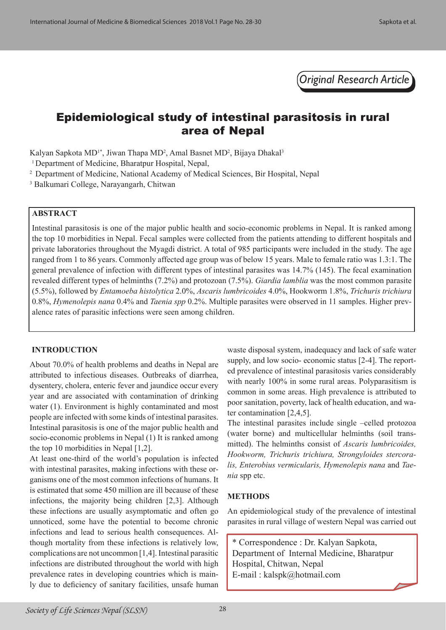*Original Research Article*

# Epidemiological study of intestinal parasitosis in rural area of Nepal

Kalyan Sapkota MD<sup>1\*</sup>, Jiwan Thapa MD<sup>2</sup>, Amal Basnet MD<sup>2</sup>, Bijaya Dhakal<sup>3</sup>

<sup>1</sup> Department of Medicine, Bharatpur Hospital, Nepal,

2 Department of Medicine, National Academy of Medical Sciences, Bir Hospital, Nepal

3 Balkumari College, Narayangarh, Chitwan

### **ABSTRACT**

Intestinal parasitosis is one of the major public health and socio-economic problems in Nepal. It is ranked among the top 10 morbidities in Nepal. Fecal samples were collected from the patients attending to different hospitals and private laboratories throughout the Myagdi district. A total of 985 participants were included in the study. The age ranged from 1 to 86 years. Commonly affected age group was of below 15 years. Male to female ratio was 1.3:1. The general prevalence of infection with different types of intestinal parasites was 14.7% (145). The fecal examination revealed different types of helminths (7.2%) and protozoan (7.5%). *Giardia lamblia* was the most common parasite (5.5%), followed by *Entamoeba histolytica* 2.0%, *Ascaris lumbricoides* 4.0%, Hookworm 1.8%, *Trichuris trichiura* 0.8%, *Hymenolepis nana* 0.4% and *Taenia spp* 0.2%. Multiple parasites were observed in 11 samples. Higher prevalence rates of parasitic infections were seen among children.

#### **INTRODUCTION**

About 70.0% of health problems and deaths in Nepal are attributed to infectious diseases. Outbreaks of diarrhea, dysentery, cholera, enteric fever and jaundice occur every year and are associated with contamination of drinking water (1). Environment is highly contaminated and most people are infected with some kinds of intestinal parasites. Intestinal parasitosis is one of the major public health and socio-economic problems in Nepal (1) It is ranked among the top 10 morbidities in Nepal [1,2].

At least one-third of the world's population is infected with intestinal parasites, making infections with these organisms one of the most common infections of humans. It is estimated that some 450 million are ill because of these infections, the majority being children [2,3]. Although these infections are usually asymptomatic and often go unnoticed, some have the potential to become chronic infections and lead to serious health consequences. Although mortality from these infections is relatively low, complications are not uncommon [1,4]. Intestinal parasitic infections are distributed throughout the world with high prevalence rates in developing countries which is mainly due to deficiency of sanitary facilities, unsafe human waste disposal system, inadequacy and lack of safe water supply, and low socio- economic status [2-4]. The reported prevalence of intestinal parasitosis varies considerably with nearly 100% in some rural areas. Polyparasitism is common in some areas. High prevalence is attributed to poor sanitation, poverty, lack of health education, and water contamination [2,4,5].

The intestinal parasites include single –celled protozoa (water borne) and multicellular helminths (soil transmitted). The helminths consist of *Ascaris lumbricoides, Hookworm, Trichuris trichiura, Strongyloides stercoralis, Enterobius vermicularis, Hymenolepis nana* and *Taenia* spp etc.

## **METHODS**

An epidemiological study of the prevalence of intestinal parasites in rural village of western Nepal was carried out

\* Correspondence : Dr. Kalyan Sapkota, Department of Internal Medicine, Bharatpur Hospital, Chitwan, Nepal E-mail : kalspk@hotmail.com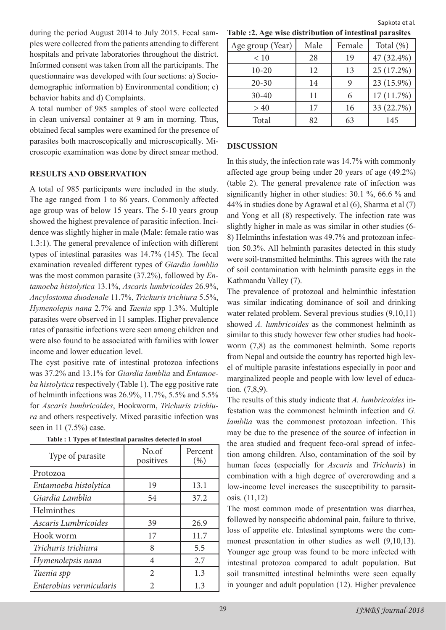during the period August 2014 to July 2015. Fecal samples were collected from the patients attending to different hospitals and private laboratories throughout the district. Informed consent was taken from all the participants. The questionnaire was developed with four sections: a) Sociodemographic information b) Environmental condition; c) behavior habits and d) Complaints.

A total number of 985 samples of stool were collected in clean universal container at 9 am in morning. Thus, obtained fecal samples were examined for the presence of parasites both macroscopically and microscopically. Microscopic examination was done by direct smear method.

#### **RESULTS AND OBSERVATION**

A total of 985 participants were included in the study. The age ranged from 1 to 86 years. Commonly affected age group was of below 15 years. The 5-10 years group showed the highest prevalence of parasitic infection. Incidence was slightly higher in male (Male: female ratio was 1.3:1). The general prevalence of infection with different types of intestinal parasites was 14.7% (145). The fecal examination revealed different types of *Giardia lamblia*  was the most common parasite (37.2%), followed by *Entamoeba histolytica* 13.1%, *Ascaris lumbricoides* 26.9%, *Ancylostoma duodenale* 11.7%, *Trichuris trichiura* 5.5%, *Hymenolepis nana* 2.7% and *Taenia* spp 1.3%. Multiple parasites were observed in 11 samples. Higher prevalence rates of parasitic infections were seen among children and were also found to be associated with families with lower income and lower education level.

The cyst positive rate of intestinal protozoa infections was 37.2% and 13.1% for *Giardia lamblia* and *Entamoeba histolytica* respectively (Table 1). The egg positive rate of helminth infections was 26.9%, 11.7%, 5.5% and 5.5% for *Ascaris lumbricoides*, Hookworm, *Trichuris trichiura* and others respectively. Mixed parasitic infection was seen in 11 (7.5%) case.

| Type of parasite        | No.of<br>positives    | Percent<br>$(\% )$ |
|-------------------------|-----------------------|--------------------|
| Protozoa                |                       |                    |
| Entamoeba histolytica   | 19                    | 13.1               |
| Giardia Lamblia         | 54                    | 37.2               |
| Helminthes              |                       |                    |
| Ascaris Lumbricoides    | 39                    | 26.9               |
| Hook worm               | 17                    | 11.7               |
| Trichuris trichiura     | 8                     | 5.5                |
| Hymenolepsis nana       | 4                     | 2.7                |
| Taenia spp              | $\mathcal{D}_{\cdot}$ | 1.3                |
| Enterobius vermicularis | 2                     | 1.3                |

|  | Table : 1 Types of Intestinal parasites detected in stool |  |  |
|--|-----------------------------------------------------------|--|--|
|  |                                                           |  |  |

**Table :2. Age wise distribution of intestinal parasites** Sapkota et al.

| Age group (Year) | Male | Female | Total $(\%)$ |
|------------------|------|--------|--------------|
| < 10             | 28   | 19     | 47 (32.4%)   |
| $10 - 20$        | 12   | 13     | 25 (17.2%)   |
| $20 - 30$        | 14   | 9      | 23 (15.9%)   |
| $30 - 40$        | 11   | 6      | 17(11.7%)    |
| >40              | 17   | 16     | 33 (22.7%)   |
| Total            | 82   | 63     | 145          |

#### **DISCUSSION**

In this study, the infection rate was 14.7% with commonly affected age group being under 20 years of age (49.2%) (table 2). The general prevalence rate of infection was significantly higher in other studies: 30.1 %, 66.6 % and 44% in studies done by Agrawal et al (6), Sharma et al (7) and Yong et all (8) respectively. The infection rate was slightly higher in male as was similar in other studies (6- 8) Helminths infestation was 49.7% and protozoan infection 50.3%. All helminth parasites detected in this study were soil-transmitted helminths. This agrees with the rate of soil contamination with helminth parasite eggs in the Kathmandu Valley (7).

The prevalence of protozoal and helminthic infestation was similar indicating dominance of soil and drinking water related problem. Several previous studies (9,10,11) showed *A. lumbricoides* as the commonest helminth as similar to this study however few other studies had hookworm (7,8) as the commonest helminth. Some reports from Nepal and outside the country has reported high level of multiple parasite infestations especially in poor and marginalized people and people with low level of education. (7,8,9).

The results of this study indicate that *A. lumbricoides* infestation was the commonest helminth infection and *G. lamblia* was the commonest protozoan infection. This may be due to the presence of the source of infection in the area studied and frequent feco-oral spread of infection among children. Also, contamination of the soil by human feces (especially for *Ascaris* and *Trichuris*) in combination with a high degree of overcrowding and a low-income level increases the susceptibility to parasitosis. (11,12)

The most common mode of presentation was diarrhea, followed by nonspecific abdominal pain, failure to thrive, loss of appetite etc. Intestinal symptoms were the commonest presentation in other studies as well (9,10,13). Younger age group was found to be more infected with intestinal protozoa compared to adult population. But soil transmitted intestinal helminths were seen equally in younger and adult population (12). Higher prevalence